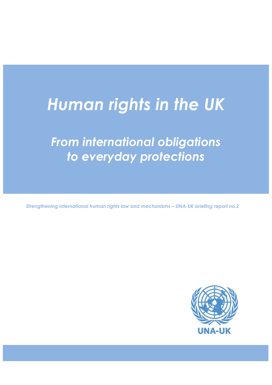# *Human rights in the UK*

# *From international obligations to everyday protections*

*Strengthening international human rights law and mechanisms – UNA-UK briefing report no.2*

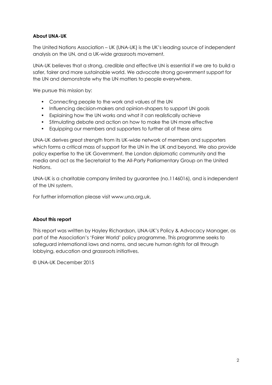# **About UNA-UK**

The United Nations Association – UK (UNA-UK) is the UK's leading source of independent analysis on the UN, and a UK-wide grassroots movement.

UNA-UK believes that a strong, credible and effective UN is essential if we are to build a safer, fairer and more sustainable world. We advocate strong government support for the UN and demonstrate why the UN matters to people everywhere.

We pursue this mission by:

- Connecting people to the work and values of the UN
- Influencing decision-makers and opinion-shapers to support UN goals
- Explaining how the UN works and what it can realistically achieve
- Stimulating debate and action on how to make the UN more effective
- Equipping our members and supporters to further all of these aims

UNA-UK derives great strength from its UK-wide network of members and supporters which forms a critical mass of support for the UN in the UK and beyond. We also provide policy expertise to the UK Government, the London diplomatic community and the media and act as the Secretariat to the All-Party Parliamentary Group on the United Nations.

UNA-UK is a charitable company limited by guarantee (no.1146016), and is independent of the UN system.

For further information please visit www.una.org.uk.

# **About this report**

This report was written by Hayley Richardson, UNA-UK's Policy & Advocacy Manager, as part of the Association's 'Fairer World' policy programme. This programme seeks to safeguard international laws and norms, and secure human rights for all through lobbying, education and grassroots initiatives.

© UNA-UK December 2015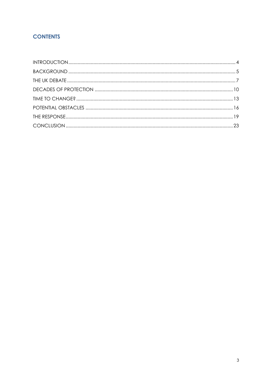# **CONTENTS**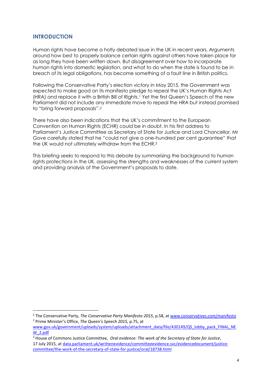# <span id="page-3-0"></span>**INTRODUCTION**

 $\overline{\phantom{a}}$ 

Human rights have become a hotly debated issue in the UK in recent years. Arguments around how best to properly balance certain rights against others have taken place for as long they have been written down. But disagreement over how to incorporate human rights into domestic legislation, and what to do when the state is found to be in breach of its legal obligations, has become something of a fault line in British politics.

Following the Conservative Party's election victory in May 2015, the Government was expected to make good on its manifesto pledge to repeal the UK's Human Rights Act (HRA) and replace it with a British Bill of Rights.<sup>1</sup> Yet the first Queen's Speech of the new Parliament did not include any immediate move to repeal the HRA but instead promised to "bring forward proposals".<sup>2</sup>

There have also been indications that the UK's commitment to the European Convention on Human Rights (ECHR) could be in doubt. In his first address to Parliament's Justice Committee as Secretary of State for Justice and Lord Chancellor, Mr Gove carefully stated that he "could not give a one-hundred per cent guarantee" that the UK would not ultimately withdraw from the ECHR.<sup>3</sup>

This briefing seeks to respond to this debate by summarising the background to human rights protections in the UK, assessing the strengths and weaknesses of the current system and providing analysis of the Government's proposals to date.

<sup>1</sup> The Conservative Party, *The Conservative Party Manifesto 2015*, p.58, at [www.conservatives.com/manifesto](http://www.conservatives.com/manifesto) <sup>2</sup> Prime Minister's Office, *The Queen's Speech 2015,* p.75, at

[www.gov.uk/government/uploads/system/uploads/attachment\\_data/file/430149/QS\\_lobby\\_pack\\_FINAL\\_NE](http://www.gov.uk/government/uploads/system/uploads/attachment_data/file/430149/QS_lobby_pack_FINAL_NEW_2.pdf) [W\\_2.pdf](http://www.gov.uk/government/uploads/system/uploads/attachment_data/file/430149/QS_lobby_pack_FINAL_NEW_2.pdf)

<sup>3</sup> House of Commons Justice Committee, *Oral evidence: The work of the Secretary of State for Justice*, 17 July 2015, at [data.parliament.uk/writtenevidence/committeeevidence.svc/evidencedocument/justice](http://data.parliament.uk/writtenevidence/committeeevidence.svc/evidencedocument/justice-committee/the-work-of-the-secretary-of-state-for-justice/oral/18738.html)[committee/the-work-of-the-secretary-of-state-for-justice/oral/18738.html](http://data.parliament.uk/writtenevidence/committeeevidence.svc/evidencedocument/justice-committee/the-work-of-the-secretary-of-state-for-justice/oral/18738.html)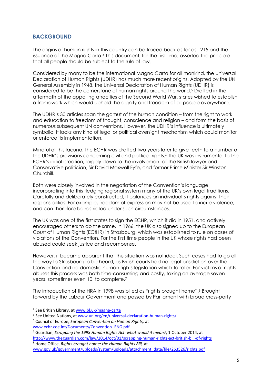# <span id="page-4-0"></span>**BACKGROUND**

The origins of human rights in this country can be traced back as far as 1215 and the issuance of the Magna Carta.<sup>4</sup> This document, for the first time, asserted the principle that all people should be subject to the rule of law.

Considered by many to be the international Magna Carta for all mankind, the Universal Declaration of Human Rights (UDHR) has much more recent origins. Adopted by the UN General Assembly in 1948, the Universal Declaration of Human Rights (UDHR) is considered to be the cornerstone of human rights around the world. <sup>5</sup> Drafted in the aftermath of the appalling atrocities of the Second World War, states wished to establish a framework which would uphold the dignity and freedom of all people everywhere.

The UDHR's 30 articles span the gamut of the human condition – from the right to work and education to freedom of thought, conscience and religion – and form the basis of numerous subsequent UN conventions. However, the UDHR's influence is ultimately symbolic. It lacks any kind of legal or political oversight mechanism which could monitor or enforce its implementation.

Mindful of this lacuna, the ECHR was drafted two years later to give teeth to a number of the UDHR's provisions concerning civil and political rights.<sup>6</sup> The UK was instrumental to the ECHR's initial creation, largely down to the involvement of the British lawyer and Conservative politician, Sir David Maxwell Fyfe, and former Prime Minister Sir Winston Churchill.

Both were closely involved in the negotiation of the Convention's language, incorporating into this fledging regional system many of the UK's own legal traditions. Carefully and deliberately constructed, it balances an individual's rights against their responsibilities. For example, freedom of expression may not be used to incite violence, and can therefore be restricted under such circumstances.

The UK was one of the first states to sign the ECHR, which it did in 1951, and actively encouraged others to do the same. In 1966, the UK also signed up to the European Court of Human Rights (ECtHR) in Strasbourg, which was established to rule on cases of violations of the Convention. For the first time people in the UK whose rights had been abused could seek justice and recompense.

However, it became apparent that this situation was not ideal. Such cases had to go all the way to Strasbourg to be heard, as British courts had no legal jurisdiction over the Convention and no domestic human rights legislation which to refer. For victims of rights abuses this process was both time-consuming and costly, taking on average seven years, sometimes even 10, to complete.<sup>7</sup>

The introduction of the HRA in 1998 was billed as "rights brought home". <sup>8</sup> Brought forward by the Labour Government and passed by Parliament with broad cross-party

**.** 

<sup>6</sup> Council of Europe, *European Convention on Human Rights,* at [www.echr.coe.int/Documents/Convention\\_ENG.pdf](http://www.echr.coe.int/Documents/Convention_ENG.pdf)

<sup>&</sup>lt;sup>4</sup> See British Library, at [www.bl.uk/magna-carta](http://www.bl.uk/magna-carta)

<sup>&</sup>lt;sup>5</sup> See United Nations, a[t www.un.org/en/universal-declaration-human-rights/](http://www.un.org/en/universal-declaration-human-rights/)

<sup>7</sup> Guardian, *Scrapping the 1998 Human Rights Act: what would it mean?*, 1 October 2014, at <http://www.theguardian.com/law/2014/oct/01/scrapping-human-rights-act-british-bill-of-rights> <sup>8</sup> Home Office, *Rights brought home: the Human Rights Bill,* at

[www.gov.uk/government/uploads/system/uploads/attachment\\_data/file/263526/rights.pdf](https://www.gov.uk/government/uploads/system/uploads/attachment_data/file/263526/rights.pdf)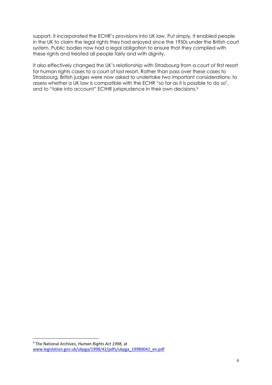support, it incorporated the ECHR's provisions into UK law. Put simply, it enabled people in the UK to claim the legal rights they had enjoyed since the 1950s under the British court system. Public bodies now had a legal obligation to ensure that they complied with these rights and treated all people fairly and with dignity.

It also effectively changed the UK's relationship with Strasbourg from a court of first resort for human rights cases to a court of last resort. Rather than pass over these cases to Strasbourg, British judges were now asked to undertake two important considerations: to assess whether a UK law is compatible with the ECHR "so far as it is possible to do so", and to "take into account" ECtHR jurisprudence in their own decisions.<sup>9</sup>

<sup>9</sup> The National Archives, *Human Rights Act 1998,* at [www.legislation.gov.uk/ukpga/1998/42/pdfs/ukpga\\_19980042\\_en.pdf](http://www.legislation.gov.uk/ukpga/1998/42/pdfs/ukpga_19980042_en.pdf)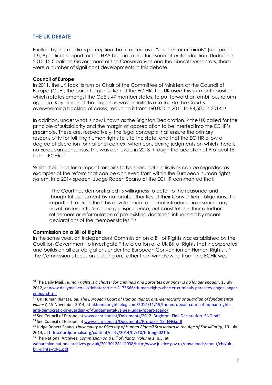# <span id="page-6-0"></span>**THE UK DEBATE**

Fuelled by the media's perception that it acted as a "charter for criminals" (see page 13), <sup>10</sup> political support for the HRA began to fracture soon after its adoption. Under the 2010-15 Coalition Government of the Conservatives and the Liberal Democrats, there were a number of significant developments in this debate.

#### **Council of Europe**

In 2011, the UK took its turn as Chair of the Committee of Ministers at the Council of Europe (CoE), the parent organisation of the ECtHR. The UK used this six-month position, which rotates amongst the CoE's 47 member states, to put forward an ambitious reform agenda. Key amongst the proposals was an initiative to tackle the Court's overwhelming backlog of cases, reducing it from 160,000 in 2011 to 84,500 in 2014. 11

In addition, under what is now known as the Brighton Declaration,<sup>12</sup> the UK called for the principle of subsidiarity and the margin of appreciation to be inserted into the ECHR's preamble. These are, respectively, the legal concepts that ensure the primary responsibility for fulfilling human rights falls to the state, and that the ECtHR allow a degree of discretion for national context when considering judgments on which there is no European consensus. This was achieved in 2013 through the adoption of Protocol 15 to the ECHR.<sup>13</sup>

Whilst their long-term impact remains to be seen, both initiatives can be regarded as examples of the reform that can be achieved from within the European human rights system. In a 2014 speech, Judge Robert Spano of the ECtHR commented that:

"The Court has demonstrated its willingness to defer to the reasoned and thoughtful assessment by national authorities of their Convention obligations. It is important to stress that this development does not introduce, in essence, any novel feature into Strasbourg jurisprudence, but constitutes rather a further refinement or reformulation of pre-existing doctrines, influenced by recent declarations of the member states."<sup>14</sup>

#### **Commission on a Bill of Rights**

1

In the same year, an independent Commission on a Bill of Rights was established by the Coalition Government to investigate "the creation of a UK Bill of Rights that incorporates and builds on all our obligations under the European Convention on Human Rights".<sup>15</sup> The Commission's focus on building on, rather than withdrawing from, the ECHR was

<sup>10</sup> The Daily Mail, *Human rights is a charter for criminals and parasites our anger is no longer enough*, 15 uly 2012, a[t www.dailymail.co.uk/debate/article-2173666/Human-rights-charter-criminals-parasites-anger-longer](http://www.dailymail.co.uk/debate/article-2173666/Human-rights-charter-criminals-parasites-anger-longer-enough.html)[enough.html](http://www.dailymail.co.uk/debate/article-2173666/Human-rights-charter-criminals-parasites-anger-longer-enough.html)

<sup>11</sup> UK Human Rights Blog, *The European Court of Human Rights: anti-democratic or guardian of fundamental values?,* 19 November 2014, at [ukhumanrightsblog.com/2014/11/19/the-european-court-of-human-rights](http://ukhumanrightsblog.com/2014/11/19/the-european-court-of-human-rights-anti-democratic-or-guardian-of-fundamental-values-judge-robert-spano/)[anti-democratic-or-guardian-of-fundamental-values-judge-robert-spano/](http://ukhumanrightsblog.com/2014/11/19/the-european-court-of-human-rights-anti-democratic-or-guardian-of-fundamental-values-judge-robert-spano/)

<sup>&</sup>lt;sup>12</sup> See Council of Europe, a[t www.echr.coe.int/Documents/2012\\_Brighton\\_FinalDeclaration\\_ENG.pdf](http://www.echr.coe.int/Documents/2012_Brighton_FinalDeclaration_ENG.pdf)

<sup>&</sup>lt;sup>13</sup> See Council of Europe, at www.echr.coe.int/Documents/Protocol 15 ENG.pdf

<sup>14</sup> Judge Robert Spano, *Universality or Diversity of Human Rights? Strasbourg in the Age of Subsidiarity,* 10 July 2014, a[t hrlr.oxfordjournals.org/content/early/2014/07/10/hrlr.ngu021.full](http://hrlr.oxfordjournals.org/content/early/2014/07/10/hrlr.ngu021.full)

<sup>15</sup> The National Archives, *Commission on a Bill of Rights, Volume 1,* p.5, at [webarchive.nationalarchives.gov.uk/20130128112038/http:/www.justice.gov.uk/downloads/about/cbr/uk](http://webarchive.nationalarchives.gov.uk/20130128112038/http:/www.justice.gov.uk/downloads/about/cbr/uk-bill-rights-vol-1.pdf)[bill-rights-vol-1.pdf](http://webarchive.nationalarchives.gov.uk/20130128112038/http:/www.justice.gov.uk/downloads/about/cbr/uk-bill-rights-vol-1.pdf)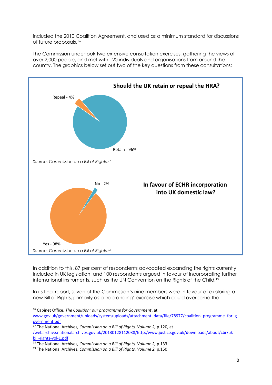included the 2010 Coalition Agreement, and used as a minimum standard for discussions of future proposals. 16

The Commission undertook two extensive consultation exercises, gathering the views of over 2,000 people, and met with 120 individuals and organisations from around the country. The graphics below set out two of the key questions from these consultations:



In addition to this, 87 per cent of respondents advocated expanding the rights currently included in UK legislation, and 100 respondents argued in favour of incorporating further international instruments, such as the UN Convention on the Rights of the Child.<sup>19</sup>

In its final report, seven of the Commission's nine members were in favour of exploring a new Bill of Rights, primarily as a 'rebranding' exercise which could overcome the

<sup>16</sup> Cabinet Office, *The Coalition: our programme for Government*, at [www.gov.uk/government/uploads/system/uploads/attachment\\_data/file/78977/coalition\\_programme\\_for\\_g](https://www.gov.uk/government/uploads/system/uploads/attachment_data/file/78977/coalition_programme_for_government.pdf) [overnment.pdf](https://www.gov.uk/government/uploads/system/uploads/attachment_data/file/78977/coalition_programme_for_government.pdf)

<sup>17</sup> The National Archives, *Commission on a Bill of Rights, Volume 2,* p.120, at [/webarchive.nationalarchives.gov.uk/20130128112038/http:/www.justice.gov.uk/downloads/about/cbr/uk](http://webarchive.nationalarchives.gov.uk/20130128112038/http:/www.justice.gov.uk/downloads/about/cbr/uk-bill-rights-vol-1.pdf)[bill-rights-vol-1.pdf](http://webarchive.nationalarchives.gov.uk/20130128112038/http:/www.justice.gov.uk/downloads/about/cbr/uk-bill-rights-vol-1.pdf)

<sup>&</sup>lt;sup>18</sup> The National Archives, *Commission on a Bill of Rights, Volume 2*, p.133

<sup>19</sup> The National Archives, *Commission on a Bill of Rights, Volume 2,* p.150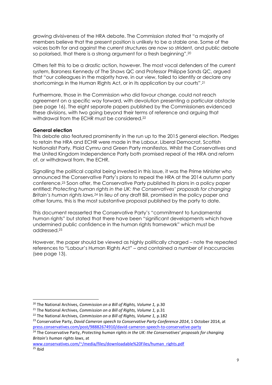growing divisiveness of the HRA debate. The Commission stated that "a majority of members believe that the present position is unlikely to be a stable one. Some of the voices both for and against the current structures are now so strident, and public debate so polarised, that there is a strong argument for a fresh beginning".<sup>20</sup>

Others felt this to be a drastic action, however. The most vocal defenders of the current system, Baroness Kennedy of The Shaws QC and Professor Philippe Sands QC, argued that "our colleagues in the majority have, in our view, failed to identify or declare any shortcomings in the Human Rights Act, or in its application by our courts".<sup>21</sup>

Furthermore, those in the Commission who did favour change, could not reach agreement on a specific way forward, with devolution presenting a particular obstacle (see page 16). The eight separate papers published by the Commissioners evidenced these divisions, with two going beyond their terms of reference and arguing that withdrawal from the ECHR must be considered.<sup>22</sup>

#### **General election**

This debate also featured prominently in the run up to the 2015 general election. Pledges to retain the HRA and ECHR were made in the Labour, Liberal Democrat, Scottish Nationalist Party, Plaid Cymru and Green Party manifestos. Whilst the Conservatives and the United Kingdom Independence Party both promised repeal of the HRA and reform of, or withdrawal from, the ECHR.

Signalling the political capital being invested in this issue, it was the Prime Minister who announced the Conservative Party's plans to repeal the HRA at the 2014 autumn party conference. <sup>23</sup> Soon after, the Conservative Party published its plans in a policy paper entitled: *Protecting human rights in the UK: the Conservatives' proposals for changing Britain's human rights laws.<sup>24</sup>* In lieu of any draft Bill, promised in the policy paper and other forums, this is the most substantive proposal published by the party to date.

This document reasserted the Conservative Party's "commitment to fundamental human rights" but stated that there have been "significant developments which have undermined public confidence in the human rights framework" which must be addressed.<sup>25</sup>

However, the paper should be viewed as highly politically charged – note the repeated references to "Labour's Human Rights Act" – and contained a number of inaccuracies (see page 13).

[www.conservatives.com/~/media/files/downloadable%20Files/human\\_rights.pdf](http://www.conservatives.com/~/media/files/downloadable%20Files/human_rights.pdf)

 $25$  Ibid

<sup>20</sup> The National Archives, *Commission on a Bill of Rights, Volume 1,* p.30

<sup>21</sup> The National Archives, *Commission on a Bill of Rights, Volume 1,* p.31

<sup>22</sup> The National Archives, *Commission on a Bill of Rights, Volume 1,* p.182

<sup>23</sup> Conservative Party, *David Cameron speech to Conservative Party Conference 2014*, 1 October 2014, at [press.conservatives.com/post/98882674910/david-cameron-speech-to-conservative-party](http://press.conservatives.com/post/98882674910/david-cameron-speech-to-conservative-party)

<sup>&</sup>lt;sup>24</sup> The Conservative Party, Protecting human rights in the UK: the Conservatives' proposals for changing *Britain's human rights laws*, at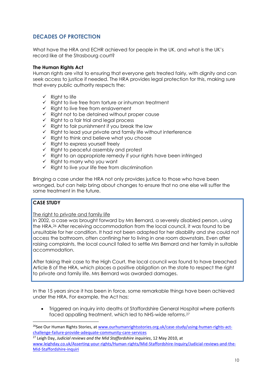# <span id="page-9-0"></span>**DECADES OF PROTECTION**

What have the HRA and ECHR achieved for people in the UK, and what is the UK's record like at the Strasbourg court?

#### **The Human Rights Act**

Human rights are vital to ensuring that everyone gets treated fairly, with dignity and can seek access to justice if needed. The HRA provides legal protection for this, making sure that every public authority respects the:

- $\checkmark$  Right to life
- $\checkmark$  Right to live free from torture or inhuman treatment
- $\checkmark$  Right to live free from enslavement
- $\checkmark$  Right not to be detained without proper cause
- $\checkmark$  Right to a fair trial and legal process
- $\checkmark$  Right to fair punishment if you break the law
- $\checkmark$  Right to lead your private and family life without interference
- $\checkmark$  Right to think and believe what you choose
- $\checkmark$  Right to express yourself freely
- $\checkmark$  Right to peaceful assembly and protest
- $\checkmark$  Right to an appropriate remedy if your rights have been infringed
- $\checkmark$  Right to marry who you want
- $\checkmark$  Right to live your life free from discrimination

Bringing a case under the HRA not only provides justice to those who have been wronged, but can help bring about changes to ensure that no one else will suffer the same treatment in the future.

# **CASE STUDY**

 $\overline{a}$ 

The right to private and family life

In 2002, a case was brought forward by Mrs Bernard, a severely disabled person, using the HRA.<sup>26</sup> After receiving accommodation from the local council, it was found to be unsuitable for her condition. It had not been adapted for her disability and she could not access the bathroom, often confining her to living in one room downstairs. Even after raising complaints, the local council failed to settle Mrs Bernard and her family in suitable accommodation.

After taking their case to the High Court, the local council was found to have breached Article 8 of the HRA, which places a positive obligation on the state to respect the right to private and family life. Mrs Bernard was awarded damages.

In the 15 years since it has been in force, some remarkable things have been achieved under the HRA. For example, the Act has:

 Triggered an inquiry into deaths at Staffordshire General Hospital where patients faced appalling treatment, which led to NHS-wide reforms.<sup>27</sup>

<sup>27</sup> Leigh Day, *Judicial reviews and the Mid Staffordshire inquiries*, 12 May 2010, at [www.leighday.co.uk/Asserting-your-rights/Human-rights/Mid-Staffordshire-Inquiry/Judicial-reviews-and-the-](http://www.leighday.co.uk/Asserting-your-rights/Human-rights/Mid-Staffordshire-Inquiry/Judicial-reviews-and-the-Mid-Staffordshire-inquiri)[Mid-Staffordshire-inquiri](http://www.leighday.co.uk/Asserting-your-rights/Human-rights/Mid-Staffordshire-Inquiry/Judicial-reviews-and-the-Mid-Staffordshire-inquiri)

<sup>&</sup>lt;sup>26</sup>See Our Human Rights Stories, at [www.ourhumanrightsstories.org.uk/case-study/using-human-rights-act](http://www.ourhumanrightsstories.org.uk/case-study/using-human-rights-act-challenge-failure-provide-adequate-community-care-services)[challenge-failure-provide-adequate-community-care-services](http://www.ourhumanrightsstories.org.uk/case-study/using-human-rights-act-challenge-failure-provide-adequate-community-care-services)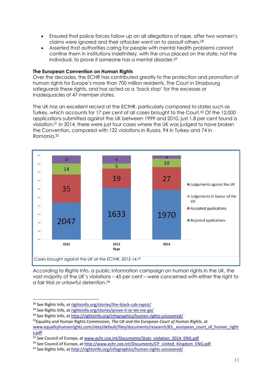- Ensured that police forces follow up on all allegations of rape, after two women's claims were ignored and their attacker went on to assault others. 28
- Asserted that authorities caring for people with mental health problems cannot confine them in institutions indefinitely, with the onus placed on the state, not the individual, to prove if someone has a mental disorder. 29

#### **The European Convention on Human Rights**

Over the decades, the ECHR has contributed greatly to the protection and promotion of human rights for Europe's more than 700 million residents. The Court in Strasbourg safeguards these rights, and has acted as a 'back stop' for the excesses or inadequacies of 47 member states.

The UK has an excellent record at the ECtHR, particularly compared to states such as Turkey, which accounts for 17 per cent of all cases brought to the Court. <sup>30</sup> Of the 12,000 applications submitted against the UK between 1999 and 2010, just 1.8 per cent found a violation.<sup>31</sup> In 2014, there were just four cases where the UK was judged to have broken the Convention, compared with 122 violations in Russia, 94 in Turkey and 74 in Romania.<sup>32</sup>



According to Rights Info, a public information campaign on human rights in the UK, the vast majority of the UK's violations – 45 per cent – were concerned with either the right to a fair trial or unlawful detention.<sup>34</sup>

<sup>28</sup> See Rights Info, at [rightsinfo.org/stories/the-black-cab-rapist/](http://rightsinfo.org/stories/the-black-cab-rapist/)

<sup>29</sup> See Rights Info, at [rightsinfo.org/stories/prove-it-or-let-me-go/](http://rightsinfo.org/stories/prove-it-or-let-me-go/)

<sup>30</sup> See Rights Info, at<http://rightsinfo.org/infographics/human-rights-uncovered/>

<sup>31</sup>Equality and Human Rights Commission, *The UK and the European Court of Human Rights*, at www.equalityhumanrights.com/sites/default/files/documents/research/83. european\_court\_of\_human\_right [s.pdf](http://www.equalityhumanrights.com/sites/default/files/documents/research/83._european_court_of_human_rights.pdf)

<sup>&</sup>lt;sup>32</sup> See Council of Europe, a[t www.echr.coe.int/Documents/Stats\\_violation\\_2014\\_ENG.pdf](http://www.echr.coe.int/Documents/Stats_violation_2014_ENG.pdf)

<sup>&</sup>lt;sup>33</sup> See Council of Europe, at http://www.echr.coe.int/Documents/CP\_United\_Kingdom\_ENG.pdf

<sup>34</sup> See Rights Info, at<http://rightsinfo.org/infographics/human-rights-uncovered/>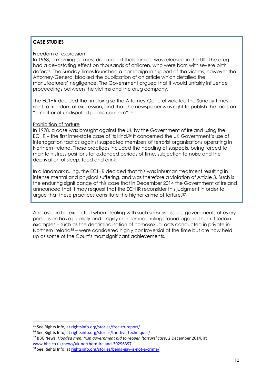# **CASE STUDIES**

#### Freedom of expression

In 1958, a morning sickness drug called Thalidomide was released in the UK. The drug had a devastating effect on thousands of children, who were born with severe birth defects. The Sunday Times launched a campaign in support of the victims, however the Attorney-General blocked the publication of an article which detailed the manufacturers' negligence. The Government argued that it would unfairly influence proceedings between the victims and the drug company.

The ECtHR decided that in doing so the Attorney-General violated the Sunday Times' right to freedom of expression, and that the newspaper was right to publish the facts on "a matter of undisputed public concern".<sup>35</sup>

#### Prohibition of torture

In 1978, a case was brought against the UK by the Government of Ireland using the ECHR – the first inter-state case of its kind.<sup>36</sup> It concerned the UK Government's use of interrogation tactics against suspected members of terrorist organisations operating in Northern Ireland. These practices included the hooding of suspects, being forced to maintain stress positions for extended periods of time, subjection to noise and the deprivation of sleep, food and drink.

In a landmark ruling, the ECtHR decided that this was inhuman treatment resulting in intense mental and physical suffering, and was therefore a violation of Article 3. Such is the enduring significance of this case that in December 2014 the Government of Ireland announced that it may request that the ECtHR reconsider this judgment in order to argue that these practices constitute the higher crime of torture.<sup>37</sup>

And as can be expected when dealing with such sensitive issues, governments of every persuasion have publicly and angrily condemned rulings found against them. Certain examples – such as the decriminalisation of homosexual acts conducted in private in Northern Ireland<sup>38</sup> – were considered highly controversial at the time but are now held up as some of the Court's most significant achievements.

 $\overline{a}$ 

<sup>35</sup> See Rights Info, at [rightsinfo.org/stories/free-to-report/](http://rightsinfo.org/stories/free-to-report/)

<sup>36</sup> See Rights Info, at [rightsinfo.org/stories/the-five-techniques/](http://rightsinfo.org/stories/the-five-techniques/)

<sup>37</sup> BBC News, *Hooded men: Irish government bid to reopen 'torture' case*, 2 December 2014, at [www.bbc.co.uk/news/uk-northern-ireland-30296397](http://www.bbc.co.uk/news/uk-northern-ireland-30296397)

<sup>38</sup> See Rights Info, at [rightsinfo.org/stories/being-gay-is-not-a-crime/](http://rightsinfo.org/stories/being-gay-is-not-a-crime/)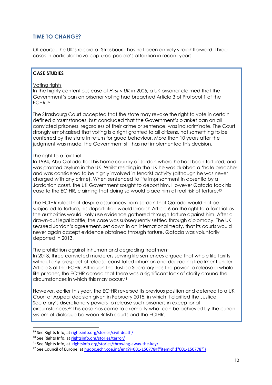# <span id="page-12-0"></span>**TIME TO CHANGE?**

Of course, the UK's record at Strasbourg has not been entirely straightforward. Three cases in particular have captured people's attention in recent years.

#### **CASE STUDIES**

#### Voting rights

In the highly contentious case of *Hirst v UK* in 2005, a UK prisoner claimed that the Government's ban on prisoner voting had breached Article 3 of Protocol 1 of the ECHR.<sup>39</sup>

The Strasbourg Court accepted that the state may revoke the right to vote in certain defined circumstances, but concluded that the Government's blanket ban on all convicted prisoners, regardless of their crime or sentence, was indiscriminate. The Court strongly emphasised that voting is a right granted to all citizens, not something to be conferred by the state in return for good behaviour. More than 10 years after the judgment was made, the Government still has not implemented this decision.

#### The right to a fair trial

In 1994, Abu Qatada fled his home country of Jordan where he had been tortured, and was granted asylum in the UK. Whilst residing in the UK he was dubbed a 'hate preacher' and was considered to be highly involved in terrorist activity (although he was never charged with any crime). When sentenced to life imprisonment in absentia by a Jordanian court, the UK Government sought to deport him. However Qatada took his case to the ECtHR, claiming that doing so would place him at real risk of torture.<sup>40</sup>

The ECtHR ruled that despite assurances from Jordan that Qatada would not be subjected to torture, his deportation would breach Article 6 on the right to a fair trial as the authorities would likely use evidence gathered through torture against him. After a drawn-out legal battle, the case was subsequently settled through diplomacy. The UK secured Jordan's agreement, set down in an international treaty, that its courts would never again accept evidence obtained through torture. Qatada was voluntarily deported in 2013.

#### The prohibition against inhuman and degrading treatment

In 2013, three convicted murderers serving life sentences argued that whole life tariffs without any prospect of release constituted inhuman and degrading treatment under Article 3 of the ECHR. Although the Justice Secretary has the power to release a whole life prisoner, the ECtHR agreed that there was a significant lack of clarity around the circumstances in which this may occur.<sup>41</sup>

However, earlier this year, the ECtHR reversed its previous position and deferred to a UK Court of Appeal decision given in February 2015, in which it clarified the Justice Secretary's discretionary powers to release such prisoners in exceptional circumstances.<sup>42</sup> This case has come to exemplify what can be achieved by the current system of dialogue between British courts and the ECtHR.

<sup>39</sup> See Rights Info, at [rightsinfo.org/stories/civil-death/](http://rightsinfo.org/stories/civil-death/)

<sup>40</sup> See Rights Info, at [rightsinfo.org/stories/terror/](http://rightsinfo.org/stories/terror/)

<sup>41</sup> See Rights Info, at [rightsinfo.org/stories/throwing-away-the-key/](http://rightsinfo.org/stories/throwing-away-the-key/)

<sup>42</sup> See Council of Europe, a[t hudoc.echr.coe.int/eng?i=001-150778#{"itemid":\["001-150778"\]}](http://hudoc.echr.coe.int/eng?i=001-150778#{"itemid":["001-150778"]})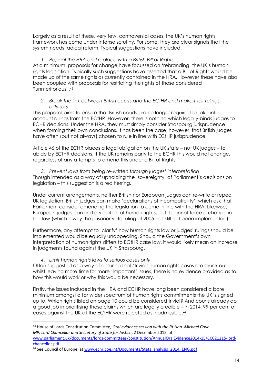Largely as a result of these, very few, controversial cases, the UK's human rights framework has come under intense scrutiny. For some, they are clear signals that the system needs radical reform. Typical suggestions have included:

# *1. Repeal the HRA and replace with a British Bill of Rights*

At a minimum, proposals for change have focussed on 'rebranding' the UK's human rights legislation. Typically such suggestions have asserted that a Bill of Rights would be made up of the same rights as currently contained in the HRA. However these have also been coupled with proposals for restricting the rights of those considered "unmeritorious".<sup>43</sup>

*2. Break the link between British courts and the ECtHR and make their rulings advisory*

This proposal aims to ensure that British courts are no longer required to take into account rulings from the ECtHR. However, there is nothing which legally-binds judges to ECHR decisions. Under the HRA, they must simply consider Strasbourg jurisprudence when forming their own conclusions. It has been the case, however, that British judges have often (but not always) chosen to rule in line with ECtHR jurisprudence.

Article 46 of the ECHR places a legal obligation on the UK *state* – not UK judges – to abide by ECtHR decisions. If the UK remains party to the ECHR this would not change, regardless of any attempts to amend this under a Bill of Rights.

*3. Prevent laws from being re-written through judges' interpretation* Though intended as a way of upholding the 'sovereignty' of Parliament's decisions on legislation – this suggestion is a red herring.

Under current arrangements, neither British nor European judges can re-write or repeal UK legislation. British judges can make 'declarations of incompatibility', which ask that Parliament consider amending the legislation to come in line with the HRA. Likewise, European judges can find a violation of human rights, but it cannot force a change in the law (which is why the prisoner vote ruling of 2005 has still not been implemented).

Furthermore, any attempt to 'clarify' how human rights law or judges' rulings should be implemented would be equally unappealing. Should the Government's own interpretation of human rights differs to ECtHR case law, it would likely mean an increase in judgments found against the UK in Strasbourg.

# *4. Limit human rights laws to serious cases only*

Often suggested as a way of ensuring that 'trivial' human rights cases are struck out whilst leaving more time for more 'important' issues, there is no evidence provided as to how this would work or why this would be necessary.

Firstly, the issues included in the HRA and ECHR have long been considered a bare minimum amongst a far wider spectrum of human rights commitments the UK is signed up to. Which rights listed on page 10 could be considered trivial? And courts already do a good job in prioritising those claims which are legally credible – in 2014, 99 per cent of cases against the UK at the ECtHR were rejected as inadmissible. 44

 $\overline{a}$ <sup>43</sup> House of Lords Constitution Committee, *Oral evidence session with the Rt Hon. Michael Gove MP, Lord Chancellor and Secretary of State for Justice*, 2 December 2015, at [www.parliament.uk/documents/lords-committees/constitution/AnnualOralEvidence2014-15/CC021215-lord-](http://www.parliament.uk/documents/lords-committees/constitution/AnnualOralEvidence2014-15/CC021215-lord-chancellor.pdf)

[chancellor.pdf](http://www.parliament.uk/documents/lords-committees/constitution/AnnualOralEvidence2014-15/CC021215-lord-chancellor.pdf)

<sup>44</sup> See Council of Europe, a[t www.echr.coe.int/Documents/Stats\\_analysis\\_2014\\_ENG.pdf](http://www.echr.coe.int/Documents/Stats_analysis_2014_ENG.pdf)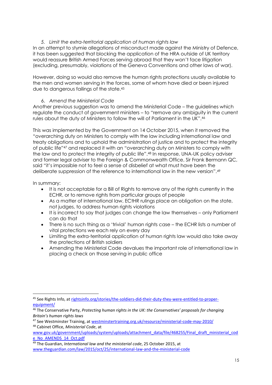#### *5. Limit the extra-territorial application of human rights law*

In an attempt to stymie allegations of misconduct made against the Ministry of Defence, it has been suggested that blocking the application of the HRA outside of UK territory would reassure British Armed Forces serving abroad that they won't face litigation (excluding, presumably, violations of the Geneva Conventions and other laws of war).

However, doing so would also remove the human rights protections usually available to the men and women serving in the forces, some of whom have died or been injured due to dangerous failings of the state.<sup>45</sup>

#### 6. *Amend the Ministerial Code*

Another previous suggestion was to amend the Ministerial Code – the guidelines which regulate the conduct of government ministers – to "remove any ambiguity in the current rules about the duty of Ministers to follow the will of Parliament in the UK".<sup>46</sup>

This was implemented by the Government on 14 October 2015, when it removed the "overarching duty on Ministers to comply with the law including international law and treaty obligations and to uphold the administration of justice and to protect the integrity of public life"<sup>47</sup> and replaced it with an "overarching duty on Ministers to comply with the law and to protect the integrity of public life".<sup>48</sup> In response, UNA-UK policy adviser and former legal adviser to the Foreign & Commonwealth Office, Sir Frank Bermann QC, said "it's impossible not to feel a sense of disbelief at what must have been the deliberate suppression of the reference to international law in the new version".<sup>49</sup>

In summary:

- It is not acceptable for a Bill of Rights to remove any of the rights currently in the ECHR, or to remove rights from particular groups of people
- As a matter of international law, ECtHR rulings place an obligation on the state, not judges, to address human rights violations
- It is incorrect to say that judges can change the law themselves only Parliament can do that
- There is no such thing as a 'trivial' human rights case the ECHR lists a number of vital protections we each rely on every day
- Limiting the extra-territorial application of human rights law would also take away the protections of British soldiers
- <span id="page-14-0"></span> Amending the Ministerial Code devalues the important role of international law in placing a check on those serving in public office

<sup>45</sup> See Rights Info, at [rightsinfo.org/stories/the-soldiers-did-their-duty-they-were-entitled-to-proper](http://rightsinfo.org/stories/the-soldiers-did-their-duty-they-were-entitled-to-proper-equipment/)[equipment/](http://rightsinfo.org/stories/the-soldiers-did-their-duty-they-were-entitled-to-proper-equipment/)

<sup>46</sup> The Conservative Party, *Protecting human rights in the UK: the Conservatives' proposals for changing Britain's human rights laws*

<sup>47</sup> See Westminster Training, at [westminstertraining.org.uk/resource/ministerial-code-may-2010/](http://westminstertraining.org.uk/resource/ministerial-code-may-2010/)

<sup>48</sup> Cabinet Office, *Ministerial Code*, at

[www.gov.uk/government/uploads/system/uploads/attachment\\_data/file/468255/Final\\_draft\\_ministerial\\_cod](http://www.gov.uk/government/uploads/system/uploads/attachment_data/file/468255/Final_draft_ministerial_code_No_AMENDS_14_Oct.pdf) [e\\_No\\_AMENDS\\_14\\_Oct.pdf](http://www.gov.uk/government/uploads/system/uploads/attachment_data/file/468255/Final_draft_ministerial_code_No_AMENDS_14_Oct.pdf)

<sup>49</sup> The Guardian, *International law and the ministerial code*, 25 October 2015, at [www.theguardian.com/law/2015/oct/25/international-law-and-the-ministerial-code](http://www.theguardian.com/law/2015/oct/25/international-law-and-the-ministerial-code)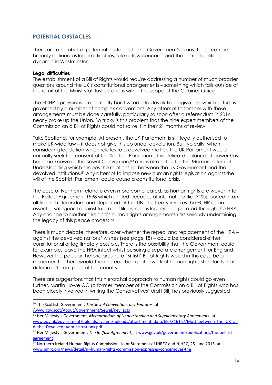# **POTENTIAL OBSTACLES**

There are a number of potential obstacles to the Government's plans. These can be broadly defined as legal difficulties, rule of law concerns and the current political dynamic in Westminster.

#### **Legal difficulties**

The establishment of a Bill of Rights would require addressing a number of much broader questions around the UK's constitutional arrangements – something which falls outside of the remit of the Ministry of Justice and is within the scope of the Cabinet Office.

The ECHR's provisions are currently hard-wired into devolution legislation, which in turn is governed by a number of complex conventions. Any attempt to tamper with these arrangements must be done carefully, particularly so soon after a referendum in 2014 nearly broke up the Union. So tricky is this problem that the nine expert members of the Commission on a Bill of Rights could not solve it in their 21 months of review.

Take Scotland, for example. At present, the UK Parliament is still legally authorised to make UK-wide law – it does not give this up under devolution. But typically, when considering legislation which relates to a devolved matter, the UK Parliament would normally seek the consent of the Scottish Parliament. This delicate balance of power has become known as the Sewel Convention,<sup>50</sup> and is also set out in the Memorandum of Understanding which shapes the relationship between the UK Government and the devolved institutions.<sup>51</sup> Any attempt to impose new human rights legislation against the will of the Scottish Parliament could cause a constitutional crisis.

The case of Northern Ireland is even more complicated, as human rights are woven into the Belfast Agreement 1998 which ended decades of internal conflict.<sup>52</sup> Supported in an all-Ireland referendum and deposited at the UN, this treaty invokes the ECHR as an essential safeguard against future hostilities, and is legally incorporated through the HRA. Any change to Northern Ireland's human rights arrangements risks seriously undermining the legacy of this peace process.<sup>53</sup>

There is much debate, therefore, over whether the repeal and replacement of the HRA – against the devolved nations' wishes (see page 18) – could be considered either constitutional or legitimately possible. There is the possibility that the Government could, for example, leave the HRA intact whilst pursuing a separate arrangement for England. However the popular rhetoric around a 'British' Bill of Rights would in this case be a misnomer, for there would then instead be a patchwork of human rights standards that differ in different parts of the country.

There are suggestions that this hierarchal approach to human rights could go even further. Martin Howe QC (a former member of the Commission on a Bill of Rights who has been closely involved in writing the Conservatives' draft Bill) has previously suggested

**<sup>.</sup>** <sup>50</sup> The Scottish Government, *The Sewel Convention: Key Features*, at [/www.gov.scot/About/Government/Sewel/KeyFacts](http://www.gov.scot/About/Government/Sewel/KeyFacts)

<sup>51</sup> Her Majesty's Government, *Memorandum of Understanding and Supplementary Agreements*, at [www.gov.uk/government/uploads/system/uploads/attachment\\_data/file/316157/MoU\\_between\\_the\\_UK\\_an](http://www.gov.uk/government/uploads/system/uploads/attachment_data/file/316157/MoU_between_the_UK_and_the_Devolved_Administrations.pdf) [d\\_the\\_Devolved\\_Administrations.pdf](http://www.gov.uk/government/uploads/system/uploads/attachment_data/file/316157/MoU_between_the_UK_and_the_Devolved_Administrations.pdf)

<sup>52</sup> Her Majesty's Government, *The Belfast Agreement*, a[t www.gov.uk/government/publications/the-belfast](http://www.gov.uk/government/publications/the-belfast-agreement)[agreement](http://www.gov.uk/government/publications/the-belfast-agreement)

<sup>53</sup> Northern Ireland Human Rights Commission, Joint Statement of IHREC and NIHRC, 25 June 2015, at [www.nihrc.org/news/detail/ni-human-rights-commission-expresses-concernover-the](http://www.nihrc.org/news/detail/ni-human-rights-commission-expresses-concernover-the)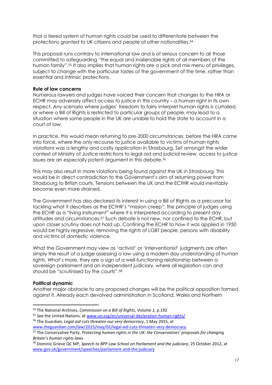that a tiered system of human rights could be used to differentiate between the protections granted to UK citizens and people of other nationalities.<sup>54</sup>

This proposal runs contrary to international law and is of serious concern to all those committed to safeguarding "the equal and inalienable rights of all members of the human family".<sup>55</sup> It also implies that human rights are a pick and mix menu of privileges, subject to change with the particular tastes of the government of the time, rather than essential and intrinsic protections.

#### **Rule of law concerns**

Numerous lawyers and judges have voiced their concern that changes to the HRA or ECHR may adversely affect access to justice in this country – a human right in its own respect. Any scenario where judges' freedom to fairly interpret human rights is curtailed, or where a Bill of Rights is restricted to particular groups of people, may lead to a situation where some people in the UK are unable to hold the state to account in a court of law.

In practice, this would mean returning to pre-2000 circumstances, before the HRA came into force, where the only recourse to justice available to victims of human rights violations was a lengthy and costly application in Strasbourg. Set amongst the wider context of Ministry of Justice restrictions to legal aid and judicial review, access to justice issues are an especially potent argument in this debate.<sup>56</sup>

This may also result in more violations being found against the UK in Strasbourg. This would be in direct contradiction to the Government's aim of returning power from Strasbourg to British courts. Tensions between the UK and the ECtHR would inevitably become even more strained.

The Government has also declared its interest in using a Bill of Rights as a precursor for tackling what it describes as the ECtHR's "mission creep": the principle of judges using the ECHR as a "living instrument" where it is interpreted according to present day attitudes and circumstances. <sup>57</sup> Such debate is not new, nor confined to the ECHR, but upon closer scrutiny does not hold up. Confining the ECHR to how it was applied in 1950 would be highly regressive, removing the rights of LGBT people, persons with disability and victims of domestic violence.

What the Government may view as 'activist' or 'interventionist' judgments are often simply the result of a judge assessing a law using a modern day understanding of human rights. What's more, they are a sign of a well-functioning relationship between a sovereign parliament and an independent judiciary, where all legislation can and should be "scrutinised by the courts".<sup>58</sup>

#### **Political dynamic**

**.** 

Another major obstacle to any proposed changes will be the political opposition formed against it. Already each devolved administration in Scotland, Wales and Northern

<sup>56</sup> The Guardian, *Legal aid cuts threaten our very democracy*, 1 May 2015, at [www.theguardian.com/law/2015/may/01/legal-aid-cuts-threaten-very-democracy](http://www.theguardian.com/law/2015/may/01/legal-aid-cuts-threaten-very-democracy)

<sup>54</sup> The National Archives, *Commission on a Bill of Rights, Volume 1,* p.192

<sup>&</sup>lt;sup>55</sup> See the United Nations, at [www.un.org/en/universal-declaration-human-rights/](http://www.un.org/en/universal-declaration-human-rights/)

<sup>57</sup> The Conservative Party, *Protecting human rights in the UK: the Conservatives' proposals for changing Britain's human rights laws*

<sup>58</sup> Dominic Grieve QC MP, *Speech to BPP Law School on Parliament and the judiciary*, 25 October 2012, at [www.gov.uk/government/speeches/parliament-and-the-judiciary](http://www.gov.uk/government/speeches/parliament-and-the-judiciary)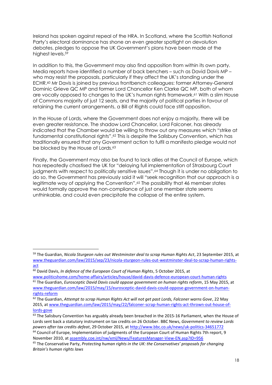Ireland has spoken against repeal of the HRA. In Scotland, where the Scottish National Party's electoral dominance has shone an even greater spotlight on devolution debates, pledges to oppose the UK Government's plans have been made at the highest levels. 59

In addition to this, the Government may also find opposition from within its own party. Media reports have identified a number of back benchers – such as David Davis MP – who may resist the proposals, particularly if they affect the UK's standing under the ECHR. <sup>60</sup> Mr Davis is joined by previous frontbench colleagues: former Attorney-General Dominic Grieve QC MP and former Lord Chancellor Ken Clarke QC MP, both of whom are vocally opposed to changes to the UK's human rights framework. <sup>61</sup> With a slim House of Commons majority of just 12 seats, and the majority of political parties in favour of retaining the current arrangements, a Bill of Rights could face stiff opposition.

In the House of Lords, where the Government does not enjoy a majority, there will be even greater resistance. The shadow Lord Chancellor, Lord Falconer, has already indicated that the Chamber would be willing to throw out any measures which "strike at fundamental constitutional rights".<sup>62</sup> This is despite the Salisbury Convention, which has traditionally ensured that any Government action to fulfil a manifesto pledge would not be blocked by the House of Lords.<sup>63</sup>

Finally, the Government may also be found to lack allies at the Council of Europe, which has repeatedly chastised the UK for "delaying full implementation of Strasbourg Court judgments with respect to politically sensitive issues".<sup>64</sup> Though it is under no obligation to do so, the Government has previously said it will "seek recognition that our approach is a legitimate way of applying the Convention".<sup>65</sup> The possibility that 46 member states would formally approve the non-compliance of just one member state seems unthinkable, and could even precipitate the collapse of the entire system.

<span id="page-17-0"></span>1

<sup>59</sup> The Guardian, *Nicola Sturgeon rules out Westminster deal to scrap Human Rights Act*, 23 September 2015, at [www.theguardian.com/law/2015/sep/23/nicola-sturgeon-rules-out-westminster-deal-to-scrap-human-rights](http://www.theguardian.com/law/2015/sep/23/nicola-sturgeon-rules-out-westminster-deal-to-scrap-human-rights-act)[act](http://www.theguardian.com/law/2015/sep/23/nicola-sturgeon-rules-out-westminster-deal-to-scrap-human-rights-act)

<sup>60</sup> David Davis, *In defence of the European Court of Human Rights*, 5 October 2015, at

[www.politicshome.com/home-affairs/articles/house/david-davis-defence-european-court-human-rights](http://www.politicshome.com/home-affairs/articles/house/david-davis-defence-european-court-human-rights) <sup>61</sup> The Guardian, *Eurosceptic David Davis could oppose government on human rights reform*, 15 May 2015, at [www.theguardian.com/law/2015/may/15/eurosceptic-david-davis-could-oppose-government-on-human](http://www.theguardian.com/law/2015/may/15/eurosceptic-david-davis-could-oppose-government-on-human-rights-reform)[rights-reform](http://www.theguardian.com/law/2015/may/15/eurosceptic-david-davis-could-oppose-government-on-human-rights-reform)

<sup>62</sup> The Guardian, *Attempt to scrap Human Rights Act will not get past Lords, Falconer warns Gove*, 22 May 2015, a[t www.theguardian.com/law/2015/may/22/falconer-scrap-human-rights-act-thrown-out-house-of](http://www.theguardian.com/law/2015/may/22/falconer-scrap-human-rights-act-thrown-out-house-of-lords-gove)[lords-gove](http://www.theguardian.com/law/2015/may/22/falconer-scrap-human-rights-act-thrown-out-house-of-lords-gove)

<sup>&</sup>lt;sup>63</sup> The Salisbury Convention has arguably already been breached in the 2015-16 Parliament, when the House of Lords sent back a statutory instrument on tax credits on 26 October. BBC News, *Government to review Lords powers after tax credits defeat*, 29 October 2015, a[t http://www.bbc.co.uk/news/uk-politics-34651772](http://www.bbc.co.uk/news/uk-politics-34651772)

<sup>&</sup>lt;sup>64</sup> Council of Europe, Implementation of judgments of the European Court of Human Rights 7th report, 9 November 2010, a[t assembly.coe.int/nw/xml/News/FeaturesManager-View-EN.asp?ID=956](http://assembly.coe.int/nw/xml/News/FeaturesManager-View-EN.asp?ID=956)

<sup>65</sup> The Conservative Party, *Protecting human rights in the UK: the Conservatives' proposals for changing Britain's human rights laws*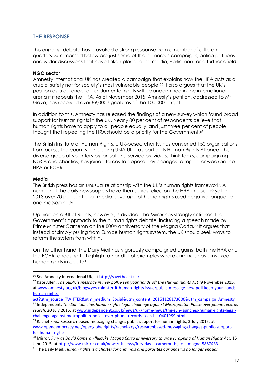# **THE RESPONSE**

This ongoing debate has provoked a strong response from a number of different quarters. Summarised below are just some of the numerous campaigns, online petitions and wider discussions that have taken place in the media, Parliament and further afield.

#### **NGO sector**

Amnesty International UK has created a campaign that explains how the HRA acts as a crucial safety net for society's most vulnerable people.<sup>66</sup> It also argues that the UK's position as a defender of fundamental rights will be undermined in the international arena if it repeals the HRA. As of November 2015, Amnesty's petition, addressed to Mr Gove, has received over 89,000 signatures of the 100,000 target.

In addition to this, Amnesty has released the findings of a new survey which found broad support for human rights in the UK. Nearly 80 per cent of respondents believe that human rights have to apply to all people equally, and just three per cent of people thought that repealing the HRA should be a priority for the Government.<sup>67</sup>

The British Institute of Human Rights, a UK-based charity, has convened 150 organisations from across the country – including UNA-UK – as part of its Human Rights Alliance. This diverse group of voluntary organisations, service providers, think tanks, campaigning NGOs and charities, has joined forces to oppose any changes to repeal or weaken the HRA or ECHR.

#### **Media**

 $\overline{a}$ 

The British press has an unusual relationship with the UK's human rights framework. A number of the daily newspapers have themselves relied on the HRA in court,<sup>68</sup> yet in 2013 over 70 per cent of all media coverage of human rights used negative language and messaging. 69

Opinion on a Bill of Rights, however, is divided. The Mirror has strongly criticised the Government's approach to the human rights debate, including a speech made by Prime Minister Cameron on the 800<sup>th</sup> anniversary of the Magna Carta.<sup>70</sup> It argues that instead of simply pulling from Europe human rights system, the UK should seek ways to reform the system from within.

On the other hand, the Daily Mail has vigorously campaigned against both the HRA and the ECHR, choosing to highlight a handful of examples where criminals have invoked human rights in court. 71

<sup>&</sup>lt;sup>66</sup> See Amnesty International UK, a[t http://savetheact.uk/](http://savetheact.uk/)

<sup>67</sup> Kate Allen, *The public's message in new poll: Keep your hands off the Human Rights Act*, 9 November 2015, a[t www.amnesty.org.uk/blogs/yes-minister-it-human-rights-issue/public-message-new-poll-keep-your-hands](http://www.amnesty.org.uk/blogs/yes-minister-it-human-rights-issue/public-message-new-poll-keep-your-hands-human-rights-act?utm_source=TWITTER&utm_medium=Social&utm_content=20151126173000&utm_campaign=Amnesty)[human-rights-](http://www.amnesty.org.uk/blogs/yes-minister-it-human-rights-issue/public-message-new-poll-keep-your-hands-human-rights-act?utm_source=TWITTER&utm_medium=Social&utm_content=20151126173000&utm_campaign=Amnesty)

[act?utm\\_source=TWITTER&utm\\_medium=Social&utm\\_content=20151126173000&utm\\_campaign=Amnesty](http://www.amnesty.org.uk/blogs/yes-minister-it-human-rights-issue/public-message-new-poll-keep-your-hands-human-rights-act?utm_source=TWITTER&utm_medium=Social&utm_content=20151126173000&utm_campaign=Amnesty) <sup>68</sup> Independent, *The Sun launches human rights legal challenge against Metropolitan Police over phone records search*, 20 July 2015, a[t www.independent.co.uk/news/uk/home-news/the-sun-launches-human-rights-legal](http://www.independent.co.uk/news/uk/home-news/the-sun-launches-human-rights-legal-challenge-against-metropolitan-police-over-phone-records-search-10401999.html)[challenge-against-metropolitan-police-over-phone-records-search-10401999.html](http://www.independent.co.uk/news/uk/home-news/the-sun-launches-human-rights-legal-challenge-against-metropolitan-police-over-phone-records-search-10401999.html)

<sup>&</sup>lt;sup>69</sup> Rachel Krys, Research-based messaging changes public support for human rights, 3 July 2015, at [www.opendemocracy.net/openglobalrights/rachel-krys/researchbased-messaging-changes-public-support](http://www.opendemocracy.net/openglobalrights/rachel-krys/researchbased-messaging-changes-public-support-for-human-rights)[for-human-rights](http://www.opendemocracy.net/openglobalrights/rachel-krys/researchbased-messaging-changes-public-support-for-human-rights)

<sup>70</sup> Mirror, *Fury as David Cameron 'hijacks' Magna Carta anniversary to urge scrapping of Human Rights Act*, 15 June 2015, at<http://www.mirror.co.uk/news/uk-news/fury-david-cameron-hijacks-magna-5887433>

<sup>71</sup> The Daily Mail, *Human rights is a charter for criminals and parasites our anger is no longer enough*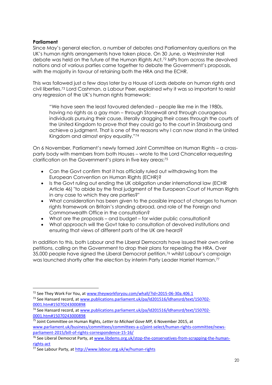#### **Parliament**

**.** 

Since May's general election, a number of debates and Parliamentary questions on the UK's human rights arrangements have taken place. On 30 June, a Westminster Hall debate was held on the future of the Human Rights Act.<sup>72</sup> MPs from across the devolved nations and of various parties came together to debate the Government's proposals, with the majority in favour of retaining both the HRA and the ECHR.

This was followed just a few days later by a House of Lords debate on human rights and civil liberties.<sup>73</sup> Lord Cashman, a Labour Peer, explained why it was so important to resist any regression of the UK's human rights framework:

"We have seen the least favoured defended – people like me in the 1980s, having no rights as a gay man – through Stonewall and through courageous individuals pursuing their cause, literally dragging their cases through the courts of the United Kingdom to prove that they could go to the court in Strasbourg and achieve a judgment. That is one of the reasons why I can now stand in the United Kingdom and almost enjoy equality."<sup>74</sup>

On 6 November, Parliament's newly formed Joint Committee on Human Rights – a crossparty body with members from both Houses – wrote to the Lord Chancellor requesting clarification on the Government's plans in five key areas:<sup>75</sup>

- Can the Govt confirm that it has officially ruled out withdrawing from the European Convention on Human Rights (ECHR)?
- Is the Govt ruling out ending the UK obligation under international law (ECHR Article 46) "to abide by the final judgment of the European Court of Human Rights in any case to which they are parties?"
- What consideration has been given to the possible impact of changes to human rights framework on Britain's standing abroad, and role of the Foreign and Commonwealth Office in the consultation?
- What are the proposals and budget for wider public consultation?
- What approach will the Govt take to consultation of devolved institutions and ensuring that views of different parts of the UK are heard?

In addition to this, both Labour and the Liberal Democrats have issued their own online petitions, calling on the Government to drop their plans for repealing the HRA. Over 35,000 people have signed the Liberal Democrat petition,<sup>76</sup> whilst Labour's campaign was launched shortly after the election by interim Party Leader Harriet Harman.<sup>77</sup>

<sup>&</sup>lt;sup>72</sup> See They Work For You, at [www.theyworkforyou.com/whall/?id=2015-06-30a.406.1](http://www.theyworkforyou.com/whall/?id=2015-06-30a.406.1)

<sup>73</sup> See Hansard record, a[t www.publications.parliament.uk/pa/ld201516/ldhansrd/text/150702-](http://www.publications.parliament.uk/pa/ld201516/ldhansrd/text/150702-0001.htm#15070243000898) [0001.htm#15070243000898](http://www.publications.parliament.uk/pa/ld201516/ldhansrd/text/150702-0001.htm#15070243000898)

<sup>74</sup> See Hansard record, a[t www.publications.parliament.uk/pa/ld201516/ldhansrd/text/150702-](http://www.publications.parliament.uk/pa/ld201516/ldhansrd/text/150702-0001.htm#15070243000898) [0001.htm#15070243000898](http://www.publications.parliament.uk/pa/ld201516/ldhansrd/text/150702-0001.htm#15070243000898)

<sup>75</sup> Joint Committee on Human Rights, *Letter to Michael Gove MP,* 6 November 2015, at [www.parliament.uk/business/committees/committees-a-z/joint-select/human-rights-committee/news](http://www.parliament.uk/business/committees/committees-a-z/joint-select/human-rights-committee/news-parliament-2015/bill-of-rights-correspondence-15-16/)[parliament-2015/bill-of-rights-correspondence-15-16/](http://www.parliament.uk/business/committees/committees-a-z/joint-select/human-rights-committee/news-parliament-2015/bill-of-rights-correspondence-15-16/)

<sup>76</sup> See Liberal Democrat Party, at [www.libdems.org.uk/stop-the-conservatives-from-scrapping-the-human](http://www.libdems.org.uk/stop-the-conservatives-from-scrapping-the-human-rights-act)[rights-act](http://www.libdems.org.uk/stop-the-conservatives-from-scrapping-the-human-rights-act)

<sup>77</sup> See Labour Party, a[t http://www.labour.org.uk/w/human-rights](http://www.labour.org.uk/w/human-rights)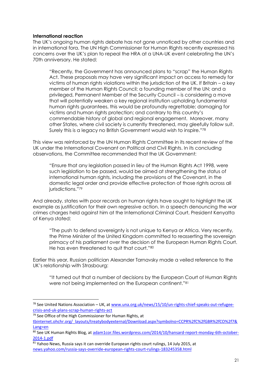#### **International reaction**

**.** 

The UK's ongoing human rights debate has not gone unnoticed by other countries and in international fora. The UN High Commissioner for Human Rights recently expressed his concerns over the UK's plan to repeal the HRA at a UNA-UK event celebrating the UN's 70th anniversary. He stated:

"Recently, the Government has announced plans to "scrap" the Human Rights Act. These proposals may have very significant impact on access to remedy for victims of human rights violations within the jurisdiction of the UK. If Britain – a key member of the Human Rights Council; a founding member of the UN; and a privileged, Permanent Member of the Security Council – is considering a move that will potentially weaken a key regional institution upholding fundamental human rights guarantees, this would be profoundly regrettable; damaging for victims and human rights protection; and contrary to this country's commendable history of global and regional engagement. Moreover, many other States, where civil society is currently threatened, may gleefully follow suit. Surely this is a legacy no British Government would wish to inspire."<sup>78</sup>

This view was reinforced by the UN Human Rights Committee in its recent review of the UK under the International Covenant on Political and Civil Rights. In its concluding observations, the Committee recommended that the UK Government:

"Ensure that any legislation passed in lieu of the Human Rights Act 1998, were such legislation to be passed, would be aimed at strengthening the status of international human rights, including the provisions of the Covenant, in the domestic legal order and provide effective protection of those rights across all jurisdictions."79

And already, states with poor records on human rights have sought to highlight the UK example as justification for their own regressive action. In a speech denouncing the war crimes charges held against him at the International Criminal Court, President Kenyatta of Kenya stated:

"The push to defend sovereignty is not unique to Kenya or Africa. Very recently, the Prime Minister of the United Kingdom committed to reasserting the sovereign primacy of his parliament over the decision of the European Human Rights Court. He has even threatened to quit that court."<sup>80</sup>

Earlier this year, Russian politician Alexander Tarnavsky made a veiled reference to the UK's relationship with Strasbourg:

"It turned out that a number of decisions by the European Court of Human Rights were not being implemented on the European continent."<sup>81</sup>

<sup>78</sup> See United Nations Association – UK, a[t www.una.org.uk/news/15/10/un-rights-chief-speaks-out-refugee](http://www.una.org.uk/news/15/10/un-rights-chief-speaks-out-refugee-crisis-and-uk-plans-scrap-human-rights-act)[crisis-and-uk-plans-scrap-human-rights-act](http://www.una.org.uk/news/15/10/un-rights-chief-speaks-out-refugee-crisis-and-uk-plans-scrap-human-rights-act)

<sup>&</sup>lt;sup>79</sup> See Office of the High Commissioner for Human Rights, at [tbinternet.ohchr.org/\\_layouts/treatybodyexternal/Download.aspx?symbolno=CCPR%2fC%2fGBR%2fCO%2f7&](http://tbinternet.ohchr.org/_layouts/treatybodyexternal/Download.aspx?symbolno=CCPR%2fC%2fGBR%2fCO%2f7&Lang=en) [Lang=en](http://tbinternet.ohchr.org/_layouts/treatybodyexternal/Download.aspx?symbolno=CCPR%2fC%2fGBR%2fCO%2f7&Lang=en)

<sup>80</sup> See UK Human Rights Blog, at [adam1cor.files.wordpress.com/2014/10/hansard-report-monday-6th-october-](https://adam1cor.files.wordpress.com/2014/10/hansard-report-monday-6th-october-2014-1.pdf)[2014-1.pdf](https://adam1cor.files.wordpress.com/2014/10/hansard-report-monday-6th-october-2014-1.pdf)

 $81$  Yahoo News, Russia says it can override European rights court rulings, 14 July 2015, at [news.yahoo.com/russia-says-override-european-rights-court-rulings-183245358.html](http://news.yahoo.com/russia-says-override-european-rights-court-rulings-183245358.html)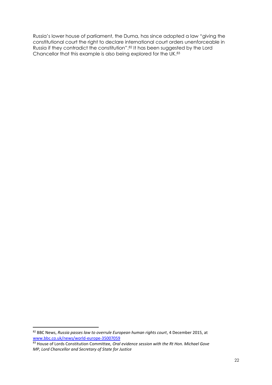<span id="page-21-0"></span>Russia's lower house of parliament, the Duma, has since adopted a law "giving the constitutional court the right to declare international court orders unenforceable in Russia if they contradict the constitution".<sup>82</sup> It has been suggested by the Lord Chancellor that this example is also being explored for the UK.<sup>83</sup>

<sup>82</sup> BBC News, *Russia passes law to overrule European human rights court*, 4 December 2015, at [www.bbc.co.uk/news/world-europe-35007059](http://www.bbc.co.uk/news/world-europe-35007059)

<sup>83</sup> House of Lords Constitution Committee, *Oral evidence session with the Rt Hon. Michael Gove MP, Lord Chancellor and Secretary of State for Justice*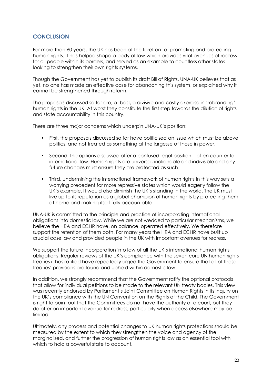# **CONCLUSION**

For more than 60 years, the UK has been at the forefront of promoting and protecting human rights. It has helped shape a body of law which provides vital avenues of redress for all people within its borders, and served as an example to countless other states looking to strengthen their own rights systems.

Though the Government has yet to publish its draft Bill of Rights, UNA-UK believes that as yet, no one has made an effective case for abandoning this system, or explained why it cannot be strengthened through reform.

The proposals discussed so far are, at best, a divisive and costly exercise in 'rebranding' human rights in the UK. At worst they constitute the first step towards the dilution of rights and state accountability in this country.

There are three major concerns which underpin UNA-UK's position:

- First, the proposals discussed so far have politicised an issue which must be above politics, and not treated as something at the largesse of those in power.
- Second, the options discussed offer a confused legal position often counter to international law. Human rights are universal, inalienable and indivisible and any future changes must ensure they are protected as such.
- Third, undermining the international framework of human rights in this way sets a worrying precedent for more repressive states which would eagerly follow the UK's example. It would also diminish the UK's standing in the world. The UK must live up to its reputation as a global champion of human rights by protecting them at home and making itself fully accountable.

UNA-UK is committed to the principle and practice of incorporating international obligations into domestic law. While we are not wedded to particular mechanisms, we believe the HRA and ECHR have, on balance, operated effectively. We therefore support the retention of them both. For many years the HRA and ECHR have built up crucial case law and provided people in the UK with important avenues for redress.

We support the future incorporation into law of all the UK's international human rights obligations. Regular reviews of the UK's compliance with the seven core UN human rights treaties it has ratified have repeatedly urged the Government to ensure that all of these treaties' provisions are found and upheld within domestic law.

In addition, we strongly recommend that the Government ratify the optional protocols that allow for individual petitions to be made to the relevant UN treaty bodies. This view was recently endorsed by Parliament's Joint Committee on Human Rights in its inquiry on the UK's compliance with the UN Convention on the Rights of the Child. The Government is right to point out that the Committees do not have the authority of a court, but they do offer an important avenue for redress, particularly when access elsewhere may be limited.

Ultimately, any process and potential changes to UK human rights protections should be measured by the extent to which they strengthen the voice and agency of the marginalised, and further the progression of human rights law as an essential tool with which to hold a powerful state to account.